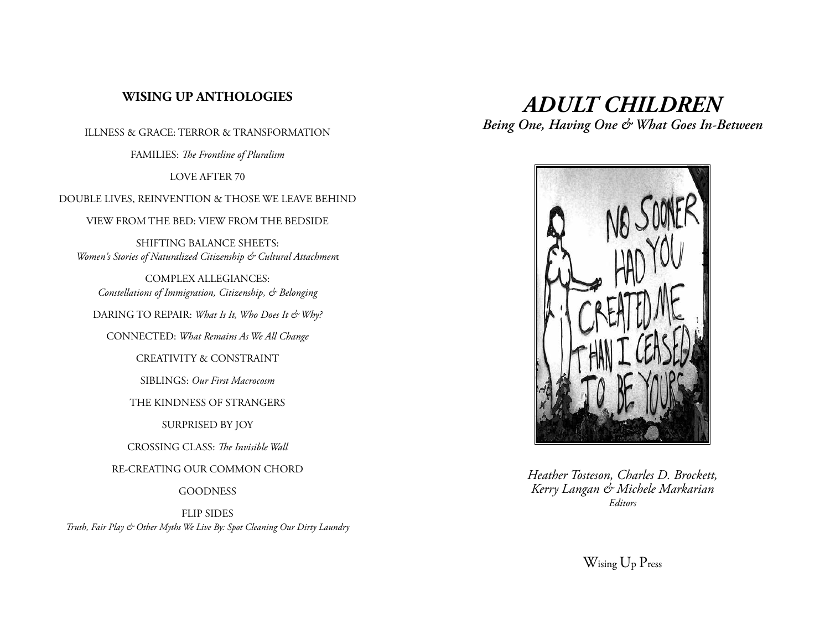# **WISING UP ANTHOLOGIES**

ILLNESS & GRACE: TERROR & TRANSFORMATION

FAMILIES: *The Frontline of Pluralism*

LOVE AFTER 70

DOUBLE LIVES, REINVENTION & THOSE WE LEAVE BEHIND

VIEW FROM THE BED: VIEW FROM THE BEDSIDE

SHIFTING BALANCE SHEETS: *Women's Stories of Naturalized Citizenship & Cultural Attachmen*t

COMPLEX ALLEGIANCES: *Constellations of Immigration, Citizenship, & Belonging*

DARING TO REPAIR: *What Is It, Who Does It & Why?* 

CONNECTED: *What Remains As We All Change*

CREATIVITY & CONSTRAINT

SIBLINGS: *Our First Macrocosm*

THE KINDNESS OF STRANGERS

SURPRISED BY JOY

CROSSING CLASS: *The Invisible Wall*

RE-CREATING OUR COMMON CHORD

**GOODNESS** 

FLIP SIDES

*Truth, Fair Play & Other Myths We Live By: Spot Cleaning Our Dirty Laundry*

# *ADULT CHILDREN*

*Being One, Having One & What Goes In-Between*



*Heather Tosteson, Charles D. Brockett, Kerry Langan & Michele Markarian Editors*

Wising Up Press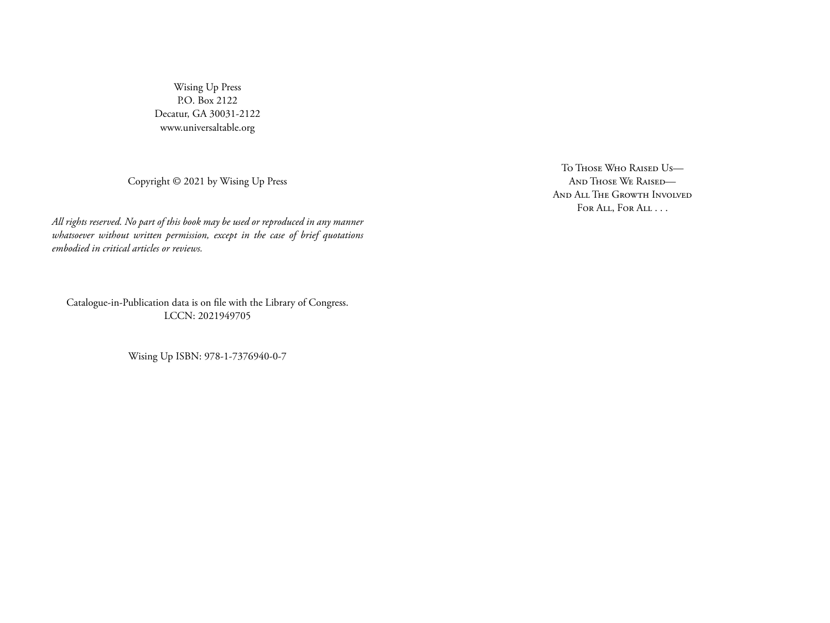Wising Up Press P.O. Box 2122 Decatur, GA 30031-2122 www.universaltable.org

Copyright © 2021 by Wising Up Press

*All rights reserved. No part of this book may be used or reproduced in any manner whatsoever without written permission, except in the case of brief quotations embodied in critical articles or reviews.*

Catalogue-in-Publication data is on file with the Library of Congress. LCCN: 2021949705

Wising Up ISBN: 978-1-7376940-0-7

To Those Who Raised Us— And Those We Raised— And All The Growth Involved For All, For All . . .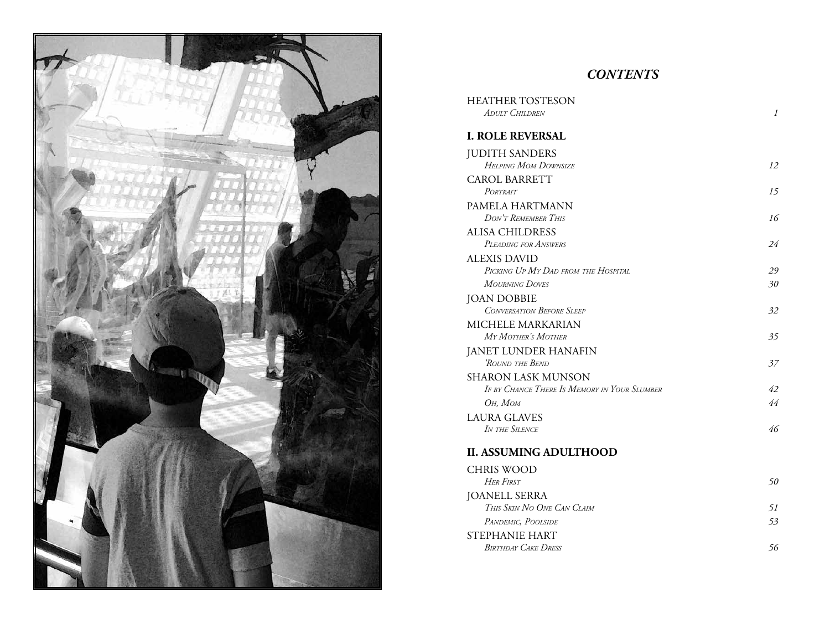

# *CONTENTS*

| <b>HEATHER TOSTESON</b>                                                   |               |
|---------------------------------------------------------------------------|---------------|
| ADULT CHILDREN                                                            | $\mathcal{I}$ |
| <b>I. ROLE REVERSAL</b>                                                   |               |
| <b>JUDITH SANDERS</b>                                                     |               |
| <b>HELPING MOM DOWNSIZE</b>                                               | 12            |
| <b>CAROL BARRETT</b>                                                      |               |
| PORTRAIT                                                                  | 15            |
| PAMELA HARTMANN                                                           |               |
| DON'T REMEMBER THIS                                                       | 16            |
| <b>ALISA CHILDRESS</b>                                                    |               |
| PLEADING FOR ANSWERS                                                      | 24            |
| <b>ALEXIS DAVID</b>                                                       |               |
| PICKING UP MY DAD FROM THE HOSPITAL                                       | 29            |
| <b>MOURNING DOVES</b>                                                     | 30            |
| <b>JOAN DOBBIE</b>                                                        |               |
| <b>CONVERSATION BEFORE SLEEP</b>                                          | 32            |
| MICHELE MARKARIAN                                                         |               |
| MY MOTHER'S MOTHER                                                        | 35            |
| <b>JANET LUNDER HANAFIN</b>                                               |               |
| 'ROUND THE BEND                                                           | 37            |
| <b>SHARON LASK MUNSON</b><br>IF BY CHANCE THERE IS MEMORY IN YOUR SLUMBER | 42            |
| Он, Мом                                                                   | 44            |
| <b>LAURA GLAVES</b>                                                       |               |
| IN THE SILENCE                                                            | 46            |
|                                                                           |               |
| <b>II. ASSUMING ADULTHOOD</b>                                             |               |
| <b>CHRIS WOOD</b>                                                         |               |
| <b>HER FIRST</b>                                                          | 50            |
| <b>JOANELL SERRA</b>                                                      |               |
| THIS SKIN NO ONE CAN CLAIM                                                | 51            |
| PANDEMIC, POOLSIDE                                                        | 53            |
| <b>STEPHANIE HART</b>                                                     |               |
| <b>BIRTHDAY CAKE DRESS</b>                                                | 56            |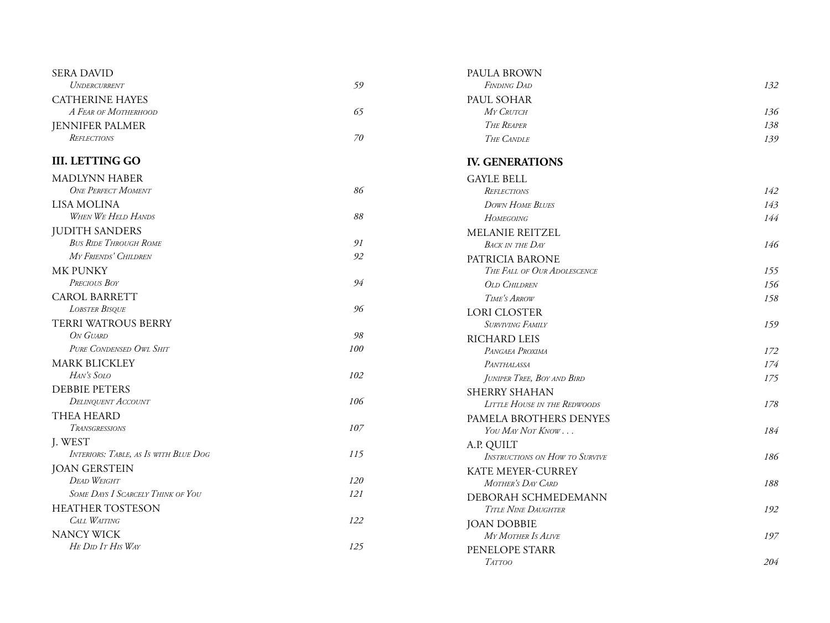| <b>SERA DAVID</b>                        |                | PAULA BROWN                           |     |
|------------------------------------------|----------------|---------------------------------------|-----|
| UNDERCURRENT                             | 59             | <b>FINDING DAD</b>                    | 132 |
| <b>CATHERINE HAYES</b>                   |                | PAUL SOHAR                            |     |
| A FEAR OF MOTHERHOOD                     | 65             | MY CRUTCH                             | 136 |
| <b>JENNIFER PALMER</b>                   |                | THE REAPER                            | 138 |
| REFLECTIONS                              | 70             | THE CANDLE                            | 139 |
| <b>III. LETTING GO</b>                   |                | <b>IV. GENERATIONS</b>                |     |
| <b>MADLYNN HABER</b>                     |                | <b>GAYLE BELL</b>                     |     |
| <b>ONE PERFECT MOMENT</b>                | 86             | REFLECTIONS                           | 142 |
| LISA MOLINA                              |                | <b>DOWN HOME BLUES</b>                | 143 |
| WHEN WE HELD HANDS                       | $\mathcal{88}$ | <b>HOMEGOING</b>                      | 144 |
| <b>JUDITH SANDERS</b>                    |                | MELANIE REITZEL                       |     |
| <b>BUS RIDE THROUGH ROME</b>             | 91             | <b>BACK IN THE DAY</b>                | 146 |
| MY FRIENDS' CHILDREN                     | 92             | PATRICIA BARONE                       |     |
| <b>MK PUNKY</b>                          |                | THE FALL OF OUR ADOLESCENCE           | 155 |
| PRECIOUS BOY                             | 94             | <b>OLD CHILDREN</b>                   | 156 |
| <b>CAROL BARRETT</b>                     |                | TIME'S ARROW                          | 158 |
| <b>LOBSTER BISQUE</b>                    | 96             | <b>LORI CLOSTER</b>                   |     |
| TERRI WATROUS BERRY                      |                | <b>SURVIVING FAMILY</b>               | 159 |
| ON GUARD                                 | 98             | RICHARD LEIS                          |     |
| PURE CONDENSED OWL SHIT                  | 100            | PANGAEA PROXIMA                       | 172 |
| <b>MARK BLICKLEY</b>                     |                | PANTHALASSA                           | 174 |
| HAN'S SOLO                               | 102            | JUNIPER TREE, BOY AND BIRD            | 175 |
| <b>DEBBIE PETERS</b>                     |                | SHERRY SHAHAN                         |     |
| <b>DELINQUENT ACCOUNT</b>                | 106            | <b>LITTLE HOUSE IN THE REDWOODS</b>   | 178 |
| <b>THEA HEARD</b>                        |                | PAMELA BROTHERS DENYES                |     |
| TRANSGRESSIONS                           | 107            | YOU MAY NOT KNOW                      | 184 |
| J. WEST                                  |                | A.P. QUILT                            |     |
| INTERIORS: TABLE, AS IS WITH BLUE DOG    | 115            | <b>INSTRUCTIONS ON HOW TO SURVIVE</b> | 186 |
| <b>JOAN GERSTEIN</b>                     |                | KATE MEYER-CURREY                     |     |
| <b>DEAD WEIGHT</b>                       | 120            | MOTHER'S DAY CARD                     | 188 |
| <b>SOME DAYS I SCARCELY THINK OF YOU</b> | 121            | DEBORAH SCHMEDEMANN                   |     |
| <b>HEATHER TOSTESON</b>                  |                | <b>TITLE NINE DAUGHTER</b>            | 192 |
| CALL WAITING                             | 122            | <b>JOAN DOBBIE</b>                    |     |
| <b>NANCY WICK</b>                        |                | MY MOTHER IS ALIVE                    | 197 |
| HE DID IT HIS WAY                        | 125            | PENELOPE STARR                        |     |
|                                          |                | <b>TATTOO</b>                         | 204 |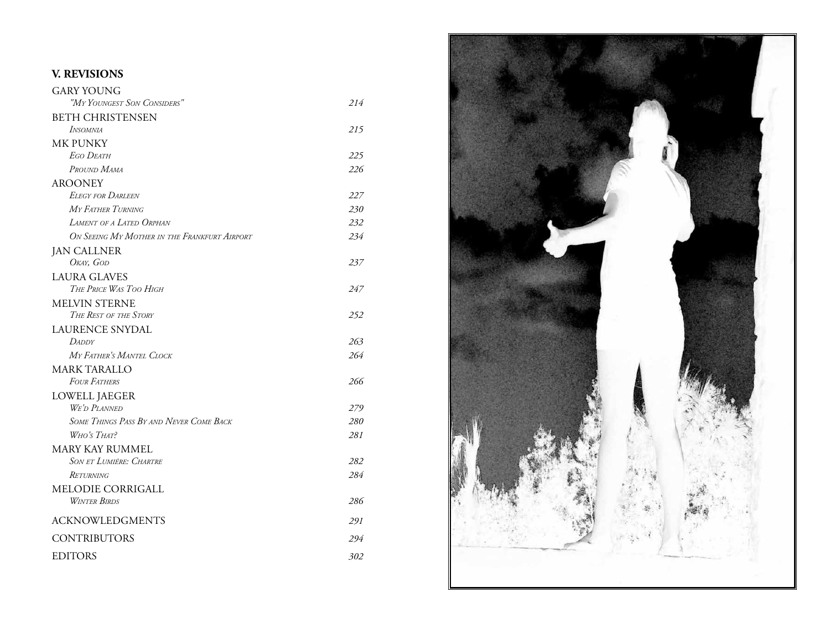# **V. REVISIONS**

| <b>GARY YOUNG</b>                              |            |
|------------------------------------------------|------------|
| "MY YOUNGEST SON CONSIDERS"                    | 214        |
| <b>BETH CHRISTENSEN</b>                        |            |
| <b>INSOMNIA</b>                                | 215        |
| <b>MK PUNKY</b>                                |            |
| <b>EGO DEATH</b>                               | 225        |
| PROUND MAMA                                    | 226        |
| <b>AROONEY</b>                                 |            |
| <b>ELEGY FOR DARLEEN</b>                       | 227        |
| MY FATHER TURNING                              | 230        |
| <b>LAMENT OF A LATED ORPHAN</b>                | 232        |
| ON SEEING MY MOTHER IN THE FRANKFURT AIRPORT   | 234        |
| <b>JAN CALLNER</b>                             |            |
| OKAY, GOD                                      | 237        |
| <b>LAURA GLAVES</b>                            |            |
| THE PRICE WAS TOO HIGH                         | 247        |
| <b>MELVIN STERNE</b>                           |            |
| THE REST OF THE STORY                          | 252        |
| <b>LAURENCE SNYDAL</b>                         |            |
| <b>DADDY</b>                                   | 263        |
| MY FATHER'S MANTEL CLOCK                       | 264        |
| <b>MARK TARALLO</b>                            |            |
| <b>FOUR FATHERS</b>                            | 266        |
| <b>LOWELL JAEGER</b>                           |            |
| <b>WE'D PLANNED</b>                            | 279        |
| <b>SOME THINGS PASS BY AND NEVER COME BACK</b> | <i>280</i> |
| W <sub>HO'S</sub> T <sub>HAT?</sub>            | 281        |
| <b>MARY KAY RUMMEL</b>                         |            |
| <b>SON ET LUMIÉRE: CHARTRE</b>                 | 282        |
| Returning                                      | 284        |
| MELODIE CORRIGALL                              |            |
| <b>WINTER BIRDS</b>                            | 286        |
| <b>ACKNOWLEDGMENTS</b>                         | 291        |
| <b>CONTRIBUTORS</b>                            | 294        |
| <b>EDITORS</b>                                 | 302        |
|                                                |            |

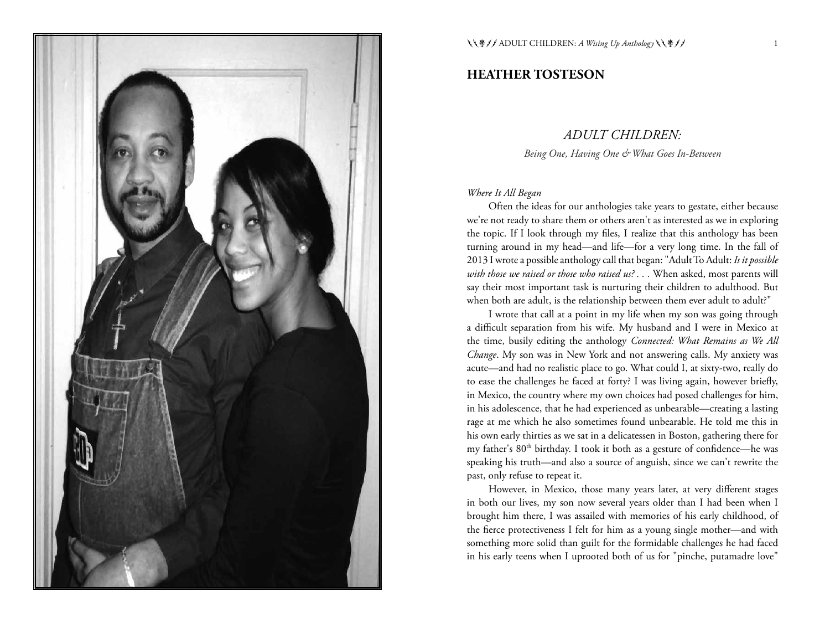

#### **HEATHER TOSTESON**

#### *ADULT CHILDREN:*

*Being One, Having One & What Goes In-Between*

#### *Where It All Began*

Often the ideas for our anthologies take years to gestate, either because we're not ready to share them or others aren't as interested as we in exploring the topic. If I look through my files, I realize that this anthology has been turning around in my head—and life—for a very long time. In the fall of 2013 I wrote a possible anthology call that began: "Adult To Adult: *Is it possible with those we raised or those who raised us? . . .* When asked, most parents will say their most important task is nurturing their children to adulthood. But when both are adult, is the relationship between them ever adult to adult?"

I wrote that call at a point in my life when my son was going through a difficult separation from his wife. My husband and I were in Mexico at the time, busily editing the anthology *Connected: What Remains as We All Change*. My son was in New York and not answering calls. My anxiety was acute—and had no realistic place to go. What could I, at sixty-two, really do to ease the challenges he faced at forty? I was living again, however briefly, in Mexico, the country where my own choices had posed challenges for him, in his adolescence, that he had experienced as unbearable—creating a lasting rage at me which he also sometimes found unbearable. He told me this in his own early thirties as we sat in a delicatessen in Boston, gathering there for my father's 80<sup>th</sup> birthday. I took it both as a gesture of confidence—he was speaking his truth—and also a source of anguish, since we can't rewrite the past, only refuse to repeat it.

However, in Mexico, those many years later, at very different stages in both our lives, my son now several years older than I had been when I brought him there, I was assailed with memories of his early childhood, of the fierce protectiveness I felt for him as a young single mother—and with something more solid than guilt for the formidable challenges he had faced in his early teens when I uprooted both of us for "pinche, putamadre love"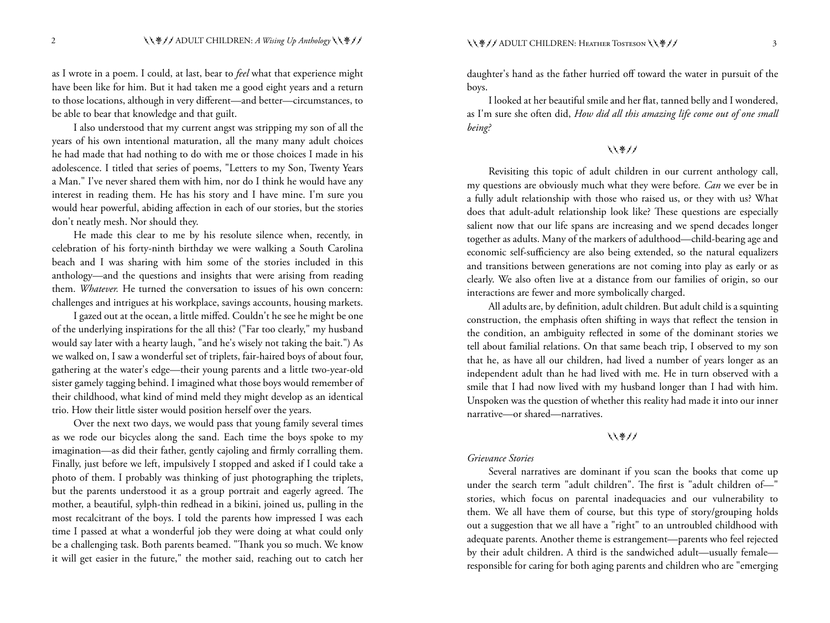as I wrote in a poem. I could, at last, bear to *feel* what that experience might have been like for him. But it had taken me a good eight years and a return to those locations, although in very different—and better—circumstances, to be able to bear that knowledge and that guilt.

I also understood that my current angst was stripping my son of all the years of his own intentional maturation, all the many many adult choices he had made that had nothing to do with me or those choices I made in his adolescence. I titled that series of poems, "Letters to my Son, Twenty Years a Man." I've never shared them with him, nor do I think he would have any interest in reading them. He has his story and I have mine. I'm sure you would hear powerful, abiding affection in each of our stories, but the stories don't neatly mesh. Nor should they.

He made this clear to me by his resolute silence when, recently, in celebration of his forty-ninth birthday we were walking a South Carolina beach and I was sharing with him some of the stories included in this anthology—and the questions and insights that were arising from reading them. *Whatever.* He turned the conversation to issues of his own concern: challenges and intrigues at his workplace, savings accounts, housing markets.

I gazed out at the ocean, a little miffed. Couldn't he see he might be one of the underlying inspirations for the all this? ("Far too clearly," my husband would say later with a hearty laugh, "and he's wisely not taking the bait.") As we walked on, I saw a wonderful set of triplets, fair-haired boys of about four, gathering at the water's edge—their young parents and a little two-year-old sister gamely tagging behind. I imagined what those boys would remember of their childhood, what kind of mind meld they might develop as an identical trio. How their little sister would position herself over the years.

Over the next two days, we would pass that young family several times as we rode our bicycles along the sand. Each time the boys spoke to my imagination—as did their father, gently cajoling and firmly corralling them. Finally, just before we left, impulsively I stopped and asked if I could take a photo of them. I probably was thinking of just photographing the triplets, but the parents understood it as a group portrait and eagerly agreed. The mother, a beautiful, sylph-thin redhead in a bikini, joined us, pulling in the most recalcitrant of the boys. I told the parents how impressed I was each time I passed at what a wonderful job they were doing at what could only be a challenging task. Both parents beamed. "Thank you so much. We know it will get easier in the future," the mother said, reaching out to catch her daughter's hand as the father hurried off toward the water in pursuit of the boys.

I looked at her beautiful smile and her flat, tanned belly and I wondered, as I'm sure she often did, *How did all this amazing life come out of one small being?*

しくきノノ

Revisiting this topic of adult children in our current anthology call, my questions are obviously much what they were before*. Can* we ever be in a fully adult relationship with those who raised us, or they with us? What does that adult-adult relationship look like? These questions are especially salient now that our life spans are increasing and we spend decades longer together as adults. Many of the markers of adulthood—child-bearing age and economic self-sufficiency are also being extended, so the natural equalizers and transitions between generations are not coming into play as early or as clearly. We also often live at a distance from our families of origin, so our interactions are fewer and more symbolically charged.

All adults are, by definition, adult children. But adult child is a squinting construction, the emphasis often shifting in ways that reflect the tension in the condition, an ambiguity reflected in some of the dominant stories we tell about familial relations. On that same beach trip, I observed to my son that he, as have all our children, had lived a number of years longer as an independent adult than he had lived with me. He in turn observed with a smile that I had now lived with my husband longer than I had with him. Unspoken was the question of whether this reality had made it into our inner narrative—or shared—narratives.

#### ししきノノ

#### *Grievance Stories*

Several narratives are dominant if you scan the books that come up under the search term "adult children". The first is "adult children of—" stories, which focus on parental inadequacies and our vulnerability to them. We all have them of course, but this type of story/grouping holds out a suggestion that we all have a "right" to an untroubled childhood with adequate parents. Another theme is estrangement—parents who feel rejected by their adult children. A third is the sandwiched adult—usually female responsible for caring for both aging parents and children who are "emerging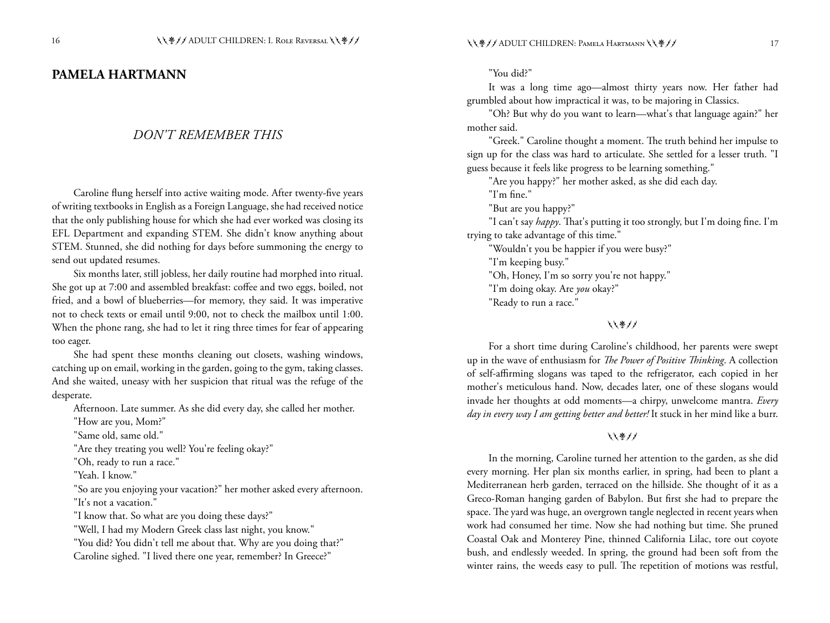# **PAMELA HARTMANN**

#### *DON'T REMEMBER THIS*

Caroline flung herself into active waiting mode. After twenty-five years of writing textbooks in English as a Foreign Language, she had received notice that the only publishing house for which she had ever worked was closing its EFL Department and expanding STEM. She didn't know anything about STEM. Stunned, she did nothing for days before summoning the energy to send out updated resumes.

Six months later, still jobless, her daily routine had morphed into ritual. She got up at 7:00 and assembled breakfast: coffee and two eggs, boiled, not fried, and a bowl of blueberries—for memory, they said. It was imperative not to check texts or email until 9:00, not to check the mailbox until 1:00. When the phone rang, she had to let it ring three times for fear of appearing too eager.

She had spent these months cleaning out closets, washing windows, catching up on email, working in the garden, going to the gym, taking classes. And she waited, uneasy with her suspicion that ritual was the refuge of the desperate.

Afternoon. Late summer. As she did every day, she called her mother.

"How are you, Mom?"

"Same old, same old."

"Are they treating you well? You're feeling okay?"

"Oh, ready to run a race."

"Yeah. I know."

"So are you enjoying your vacation?" her mother asked every afternoon. "It's not a vacation."

"I know that. So what are you doing these days?"

"Well, I had my Modern Greek class last night, you know."

"You did? You didn't tell me about that. Why are you doing that?" Caroline sighed. "I lived there one year, remember? In Greece?"

"You did?"

It was a long time ago—almost thirty years now. Her father had grumbled about how impractical it was, to be majoring in Classics.

"Oh? But why do you want to learn—what's that language again?" her mother said.

"Greek." Caroline thought a moment. The truth behind her impulse to sign up for the class was hard to articulate. She settled for a lesser truth. "I guess because it feels like progress to be learning something."

"Are you happy?" her mother asked, as she did each day.

"I'm fine."

"But are you happy?"

"I can't say *happy*. That's putting it too strongly, but I'm doing fine. I'm trying to take advantage of this time."

"Wouldn't you be happier if you were busy?"

"I'm keeping busy."

"Oh, Honey, I'm so sorry you're not happy."

"I'm doing okay. Are *you* okay?"

"Ready to run a race."

#### ししきノノ

For a short time during Caroline's childhood, her parents were swept up in the wave of enthusiasm for *The Power of Positive Thinking*. A collection of self-affirming slogans was taped to the refrigerator, each copied in her mother's meticulous hand. Now, decades later, one of these slogans would invade her thoughts at odd moments—a chirpy, unwelcome mantra. *Every day in every way I am getting better and better!* It stuck in her mind like a burr.

#### ししきノノ

In the morning, Caroline turned her attention to the garden, as she did every morning. Her plan six months earlier, in spring, had been to plant a Mediterranean herb garden, terraced on the hillside. She thought of it as a Greco-Roman hanging garden of Babylon. But first she had to prepare the space. The yard was huge, an overgrown tangle neglected in recent years when work had consumed her time. Now she had nothing but time. She pruned Coastal Oak and Monterey Pine, thinned California Lilac, tore out coyote bush, and endlessly weeded. In spring, the ground had been soft from the winter rains, the weeds easy to pull. The repetition of motions was restful,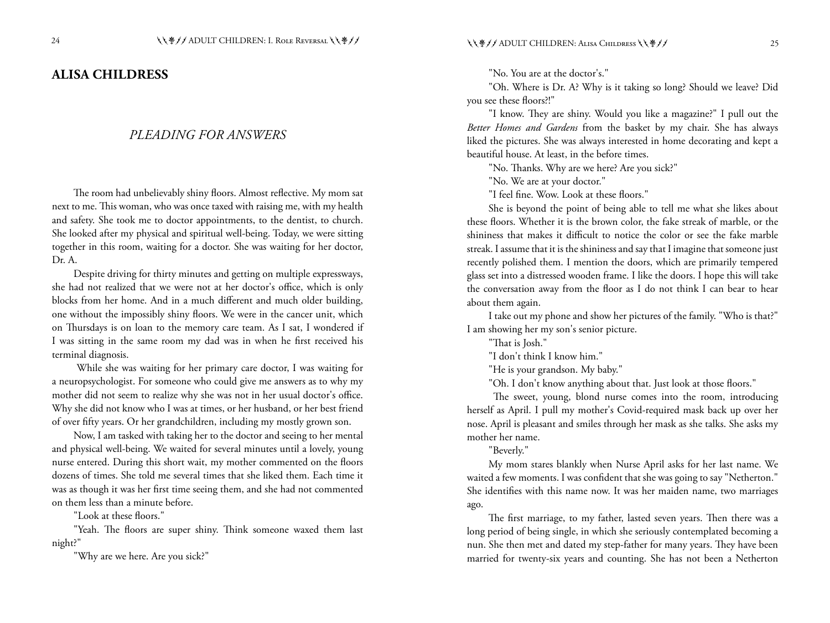#### **ALISA CHILDRESS**

#### *PLEADING FOR ANSWERS*

The room had unbelievably shiny floors. Almost reflective. My mom sat next to me. This woman, who was once taxed with raising me, with my health and safety. She took me to doctor appointments, to the dentist, to church. She looked after my physical and spiritual well-being. Today, we were sitting together in this room, waiting for a doctor. She was waiting for her doctor, Dr. A.

Despite driving for thirty minutes and getting on multiple expressways, she had not realized that we were not at her doctor's office, which is only blocks from her home. And in a much different and much older building, one without the impossibly shiny floors. We were in the cancer unit, which on Thursdays is on loan to the memory care team. As I sat, I wondered if I was sitting in the same room my dad was in when he first received his terminal diagnosis.

 While she was waiting for her primary care doctor, I was waiting for a neuropsychologist. For someone who could give me answers as to why my mother did not seem to realize why she was not in her usual doctor's office. Why she did not know who I was at times, or her husband, or her best friend of over fifty years. Or her grandchildren, including my mostly grown son.

Now, I am tasked with taking her to the doctor and seeing to her mental and physical well-being. We waited for several minutes until a lovely, young nurse entered. During this short wait, my mother commented on the floors dozens of times. She told me several times that she liked them. Each time it was as though it was her first time seeing them, and she had not commented on them less than a minute before.

"Look at these floors."

"Yeah. The floors are super shiny. Think someone waxed them last night?"

"Why are we here. Are you sick?"

"No. You are at the doctor's."

"Oh. Where is Dr. A? Why is it taking so long? Should we leave? Did you see these floors?!"

"I know. They are shiny. Would you like a magazine?" I pull out the *Better Homes and Gardens* from the basket by my chair. She has always liked the pictures. She was always interested in home decorating and kept a beautiful house. At least, in the before times.

"No. Thanks. Why are we here? Are you sick?"

"No. We are at your doctor."

"I feel fine. Wow. Look at these floors."

She is beyond the point of being able to tell me what she likes about these floors. Whether it is the brown color, the fake streak of marble, or the shininess that makes it difficult to notice the color or see the fake marble streak. I assume that it is the shininess and say that I imagine that someone just recently polished them. I mention the doors, which are primarily tempered glass set into a distressed wooden frame. I like the doors. I hope this will take the conversation away from the floor as I do not think I can bear to hear about them again.

I take out my phone and show her pictures of the family. "Who is that?" I am showing her my son's senior picture.

"That is Josh."

"I don't think I know him."

"He is your grandson. My baby."

"Oh. I don't know anything about that. Just look at those floors."

 The sweet, young, blond nurse comes into the room, introducing herself as April. I pull my mother's Covid-required mask back up over her nose. April is pleasant and smiles through her mask as she talks. She asks my mother her name.

"Beverly."

My mom stares blankly when Nurse April asks for her last name. We waited a few moments. I was confident that she was going to say "Netherton." She identifies with this name now. It was her maiden name, two marriages ago.

The first marriage, to my father, lasted seven years. Then there was a long period of being single, in which she seriously contemplated becoming a nun. She then met and dated my step-father for many years. They have been married for twenty-six years and counting. She has not been a Netherton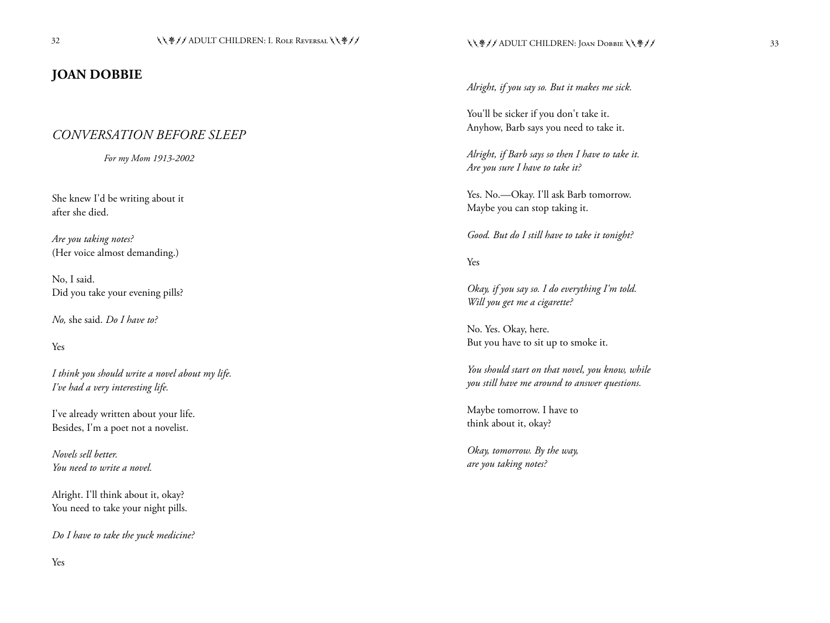# **JOAN DOBBIE**

# *CONVERSATION BEFORE SLEEP*

*For my Mom 1913-2002*

She knew I'd be writing about it after she died.

*Are you taking notes?* (Her voice almost demanding.)

No, I said. Did you take your evening pills?

*No,* she said. *Do I have to?*

Yes

*I think you should write a novel about my life. I've had a very interesting life.*

I've already written about your life. Besides, I'm a poet not a novelist.

*Novels sell better. You need to write a novel.*

Alright. I'll think about it, okay? You need to take your night pills.

*Do I have to take the yuck medicine?*

*Alright, if you say so. But it makes me sick.*

You'll be sicker if you don't take it. Anyhow, Barb says you need to take it.

*Alright, if Barb says so then I have to take it. Are you sure I have to take it?*

Yes. No.--Okay. I'll ask Barb tomorrow. Maybe you can stop taking it.

*Good. But do I still have to take it tonight?*

Yes

*Okay, if you say so. I do everything I'm told. Will you get me a cigarette?*

No. Yes. Okay, here. But you have to sit up to smoke it.

*You should start on that novel, you know, while you still have me around to answer questions.*

Maybe tomorrow. I have to think about it, okay?

*Okay, tomorrow. By the way, are you taking notes?*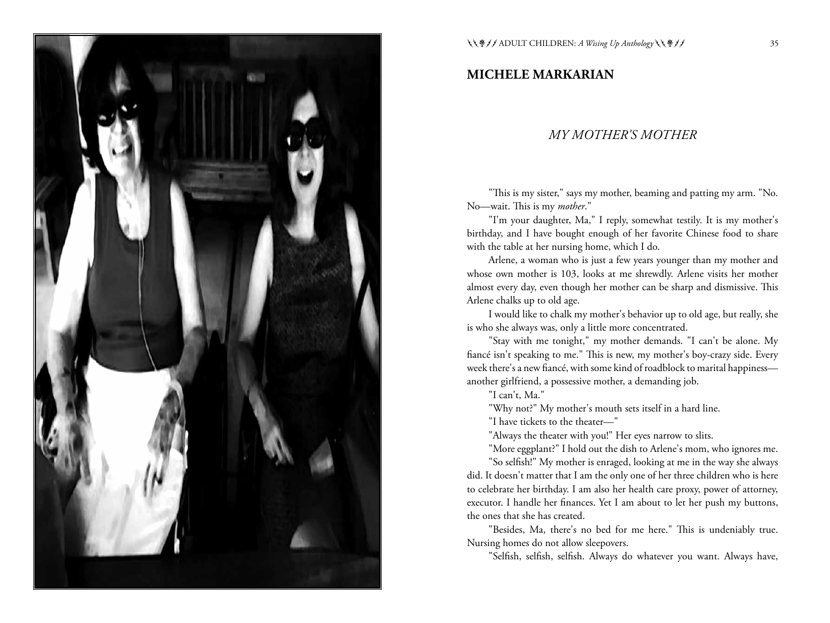

# **MICHELE MARKARIAN**

#### *MY MOTHER'S MOTHER*

"This is my sister," says my mother, beaming and patting my arm. "No. No—wait. This is my *mother*."

"I'm your daughter, Ma," I reply, somewhat testily. It is my mother's birthday, and I have bought enough of her favorite Chinese food to share with the table at her nursing home, which I do.

Arlene, a woman who is just a few years younger than my mother and whose own mother is 103, looks at me shrewdly. Arlene visits her mother almost every day, even though her mother can be sharp and dismissive. This Arlene chalks up to old age.

I would like to chalk my mother's behavior up to old age, but really, she is who she always was, only a little more concentrated.

"Stay with me tonight," my mother demands. "I can't be alone. My fiancé isn't speaking to me." This is new, my mother's boy-crazy side. Every week there's a new fiancé, with some kind of roadblock to marital happiness another girlfriend, a possessive mother, a demanding job.

"I can't, Ma."

"Why not?" My mother's mouth sets itself in a hard line.

"I have tickets to the theater—"

"Always the theater with you!" Her eyes narrow to slits.

"More eggplant?" I hold out the dish to Arlene's mom, who ignores me.

"So selfish!" My mother is enraged, looking at me in the way she always did. It doesn't matter that I am the only one of her three children who is here to celebrate her birthday. I am also her health care proxy, power of attorney, executor. I handle her finances. Yet I am about to let her push my buttons, the ones that she has created.

"Besides, Ma, there's no bed for me here." This is undeniably true. Nursing homes do not allow sleepovers.

"Selfish, selfish, selfish. Always do whatever you want. Always have,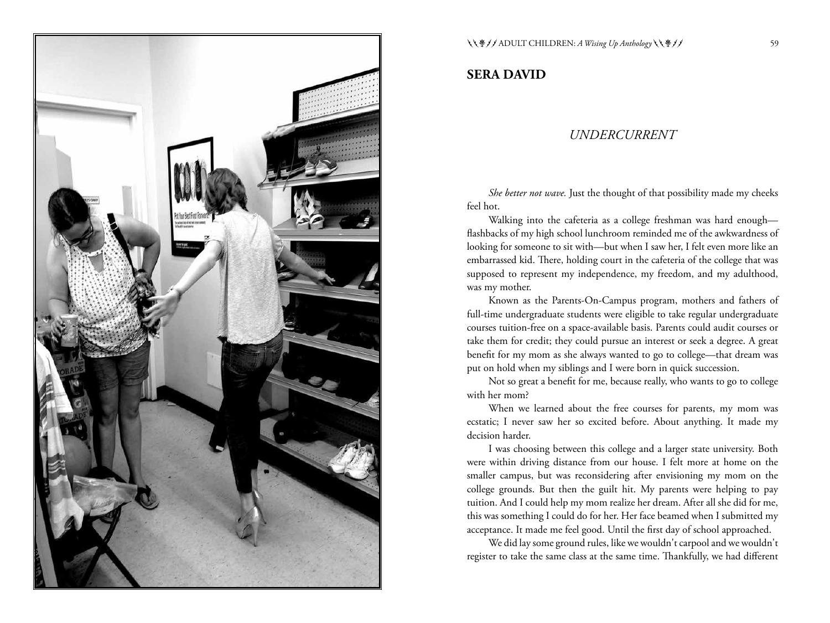

#### **SERA DAVID**

#### *UNDERCURRENT*

*She better not wave.* Just the thought of that possibility made my cheeks feel hot.

Walking into the cafeteria as a college freshman was hard enough flashbacks of my high school lunchroom reminded me of the awkwardness of looking for someone to sit with—but when I saw her, I felt even more like an embarrassed kid. There, holding court in the cafeteria of the college that was supposed to represent my independence, my freedom, and my adulthood, was my mother.

Known as the Parents-On-Campus program, mothers and fathers of full-time undergraduate students were eligible to take regular undergraduate courses tuition-free on a space-available basis. Parents could audit courses or take them for credit; they could pursue an interest or seek a degree. A great benefit for my mom as she always wanted to go to college—that dream was put on hold when my siblings and I were born in quick succession.

Not so great a benefit for me, because really, who wants to go to college with her mom?

When we learned about the free courses for parents, my mom was ecstatic; I never saw her so excited before. About anything. It made my decision harder.

I was choosing between this college and a larger state university. Both were within driving distance from our house. I felt more at home on the smaller campus, but was reconsidering after envisioning my mom on the college grounds. But then the guilt hit. My parents were helping to pay tuition. And I could help my mom realize her dream. After all she did for me, this was something I could do for her. Her face beamed when I submitted my acceptance. It made me feel good. Until the first day of school approached.

We did lay some ground rules, like we wouldn't carpool and we wouldn't register to take the same class at the same time. Thankfully, we had different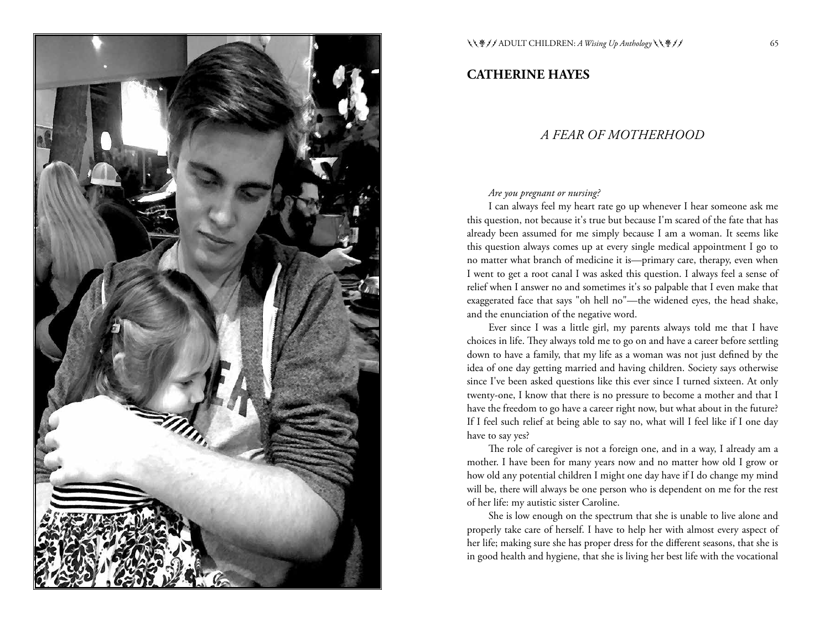

**CATHERINE HAYES**

# *A FEAR OF MOTHERHOOD*

#### *Are you pregnant or nursing?*

I can always feel my heart rate go up whenever I hear someone ask me this question, not because it's true but because I'm scared of the fate that has already been assumed for me simply because I am a woman. It seems like this question always comes up at every single medical appointment I go to no matter what branch of medicine it is—primary care, therapy, even when I went to get a root canal I was asked this question. I always feel a sense of relief when I answer no and sometimes it's so palpable that I even make that exaggerated face that says "oh hell no"—the widened eyes, the head shake, and the enunciation of the negative word.

Ever since I was a little girl, my parents always told me that I have choices in life. They always told me to go on and have a career before settling down to have a family, that my life as a woman was not just defined by the idea of one day getting married and having children. Society says otherwise since I've been asked questions like this ever since I turned sixteen. At only twenty-one, I know that there is no pressure to become a mother and that I have the freedom to go have a career right now, but what about in the future? If I feel such relief at being able to say no, what will I feel like if I one day have to say yes?

The role of caregiver is not a foreign one, and in a way, I already am a mother. I have been for many years now and no matter how old I grow or how old any potential children I might one day have if I do change my mind will be, there will always be one person who is dependent on me for the rest of her life: my autistic sister Caroline.

She is low enough on the spectrum that she is unable to live alone and properly take care of herself. I have to help her with almost every aspect of her life; making sure she has proper dress for the different seasons, that she is in good health and hygiene, that she is living her best life with the vocational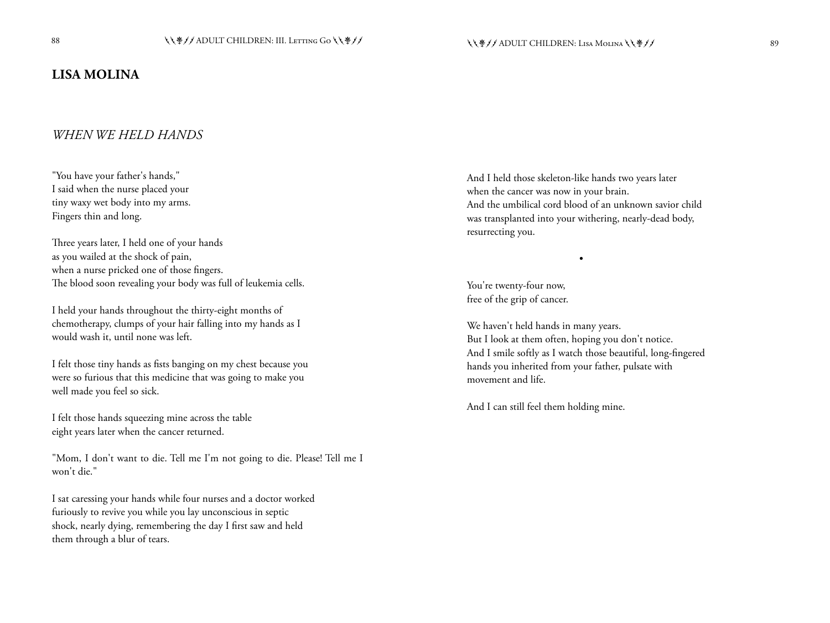# **LISA MOLINA**

#### *WHEN WE HELD HANDS*

"You have your father's hands," I said when the nurse placed your tiny waxy wet body into my arms. Fingers thin and long.

Three years later, I held one of your hands as you wailed at the shock of pain, when a nurse pricked one of those fingers. The blood soon revealing your body was full of leukemia cells.

I held your hands throughout the thirty-eight months of chemotherapy, clumps of your hair falling into my hands as I would wash it, until none was left.

I felt those tiny hands as fists banging on my chest because you were so furious that this medicine that was going to make you well made you feel so sick.

I felt those hands squeezing mine across the table eight years later when the cancer returned.

"Mom, I don't want to die. Tell me I'm not going to die. Please! Tell me I won't die."

I sat caressing your hands while four nurses and a doctor worked furiously to revive you while you lay unconscious in septic shock, nearly dying, remembering the day I first saw and held them through a blur of tears.

And I held those skeleton-like hands two years later when the cancer was now in your brain. And the umbilical cord blood of an unknown savior child was transplanted into your withering, nearly-dead body, resurrecting you.

•

You're twenty-four now, free of the grip of cancer.

We haven't held hands in many years. But I look at them often, hoping you don't notice. And I smile softly as I watch those beautiful, long-fingered hands you inherited from your father, pulsate with movement and life.

And I can still feel them holding mine.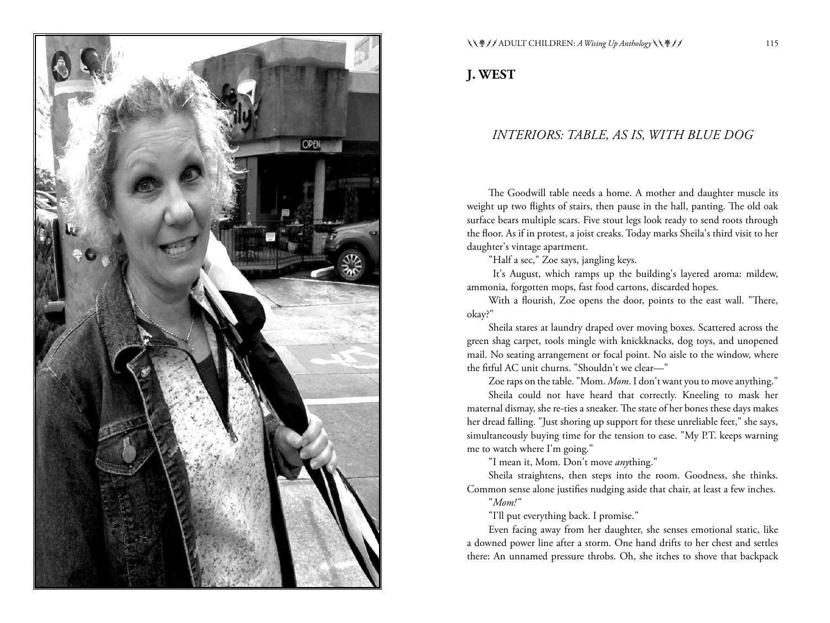

#### $\(\Psi / \Psi) / \text{ADULT CHILDREN: } A \text{ Wising } Up \text{ Anthology} \(\Psi / \Psi)$  115

**J. WEST**

### *INTERIORS: TABLE, AS IS, WITH BLUE DOG*

The Goodwill table needs a home. A mother and daughter muscle its weight up two flights of stairs, then pause in the hall, panting. The old oak surface bears multiple scars. Five stout legs look ready to send roots through the floor. As if in protest, a joist creaks. Today marks Sheila's third visit to her daughter's vintage apartment.

"Half a sec," Zoe says, jangling keys.

 It's August, which ramps up the building's layered aroma: mildew, ammonia, forgotten mops, fast food cartons, discarded hopes.

With a flourish, Zoe opens the door, points to the east wall. "There, okay?"

Sheila stares at laundry draped over moving boxes. Scattered across the green shag carpet, tools mingle with knickknacks, dog toys, and unopened mail. No seating arrangement or focal point. No aisle to the window, where the fitful AC unit churns. "Shouldn't we clear—"

Zoe raps on the table. "Mom. *Mom*. I don't want you to move anything."

Sheila could not have heard that correctly. Kneeling to mask her maternal dismay, she re-ties a sneaker. The state of her bones these days makes her dread falling. "Just shoring up support for these unreliable feet," she says, simultaneously buying time for the tension to ease. "My P.T. keeps warning me to watch where I'm going."

"I mean it, Mom. Don't move *any*thing."

Sheila straightens, then steps into the room. Goodness, she thinks. Common sense alone justifies nudging aside that chair, at least a few inches.

"*Mom!* "

"I'll put everything back. I promise."

Even facing away from her daughter, she senses emotional static, like a downed power line after a storm. One hand drifts to her chest and settles there: An unnamed pressure throbs. Oh, she itches to shove that backpack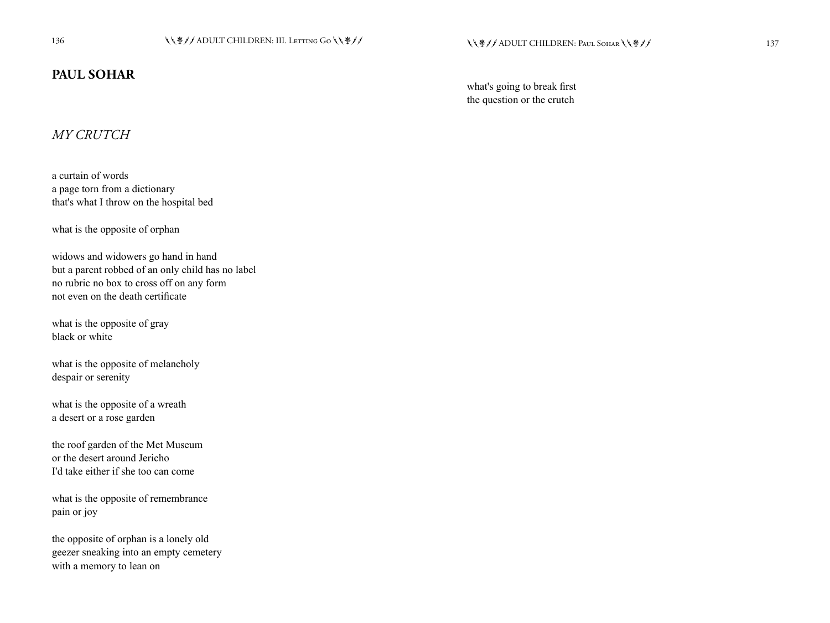# **PAUL SOHAR**

what's going to break first the question or the crutch

# *MY CRUTCH*

a curtain of words a page torn from a dictionary that's what I throw on the hospital bed

what is the opposite of orphan

widows and widowers go hand in hand but a parent robbed of an only child has no label no rubric no box to cross off on any form not even on the death certificate

what is the opposite of gray black or white

what is the opposite of melancholy despair or serenity

what is the opposite of a wreath a desert or a rose garden

the roof garden of the Met Museum or the desert around Jericho I'd take either if she too can come

what is the opposite of remembrance pain or joy

the opposite of orphan is a lonely old geezer sneaking into an empty cemetery with a memory to lean on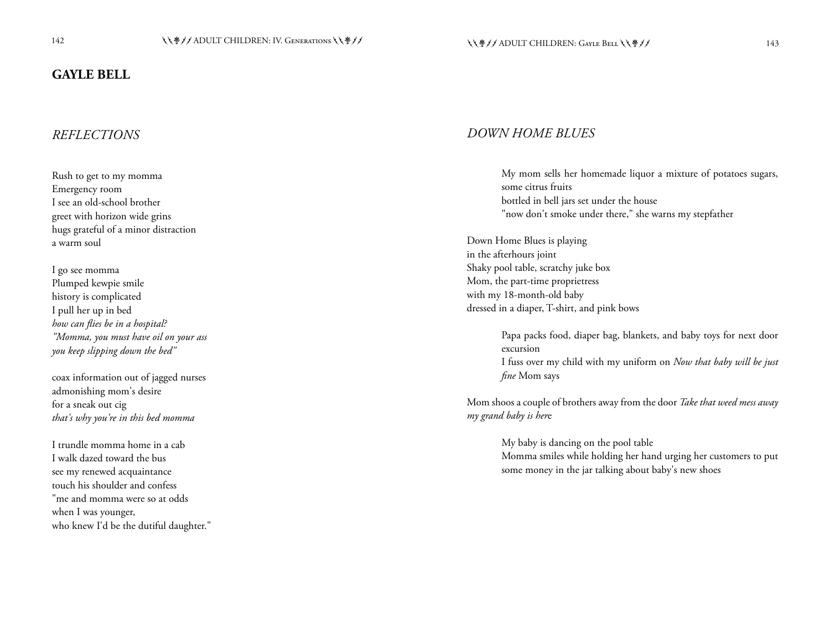### **GAYLE BELL**

# *REFLECTIONS*

Rush to get to my momma Emergency room I see an old-school brother greet with horizon wide grins hugs grateful of a minor distraction a warm soul

I go see momma Plumped kewpie smile history is complicated I pull her up in bed *how can flies be in a hospital? "Momma, you must have oil on your ass you keep slipping down the bed"*

coax information out of jagged nurses admonishing mom's desire for a sneak out cig *that's why you're in this bed momma*

I trundle momma home in a cab I walk dazed toward the bus see my renewed acquaintance touch his shoulder and confess "me and momma were so at odds when I was younger, who knew I'd be the dutiful daughter."

#### *DOWN HOME BLUES*

*fine* Mom says

My mom sells her homemade liquor a mixture of potatoes sugars, some citrus fruits bottled in bell jars set under the house "now don't smoke under there," she warns my stepfather

Down Home Blues is playing in the afterhours joint Shaky pool table, scratchy juke box Mom, the part-time proprietress with my 18-month-old baby dressed in a diaper, T-shirt, and pink bows

> Papa packs food, diaper bag, blankets, and baby toys for next door excursion I fuss over my child with my uniform on *Now that baby will be just*

Mom shoos a couple of brothers away from the door *Take that weed mess away my grand baby is her*e

> My baby is dancing on the pool table Momma smiles while holding her hand urging her customers to put some money in the jar talking about baby's new shoes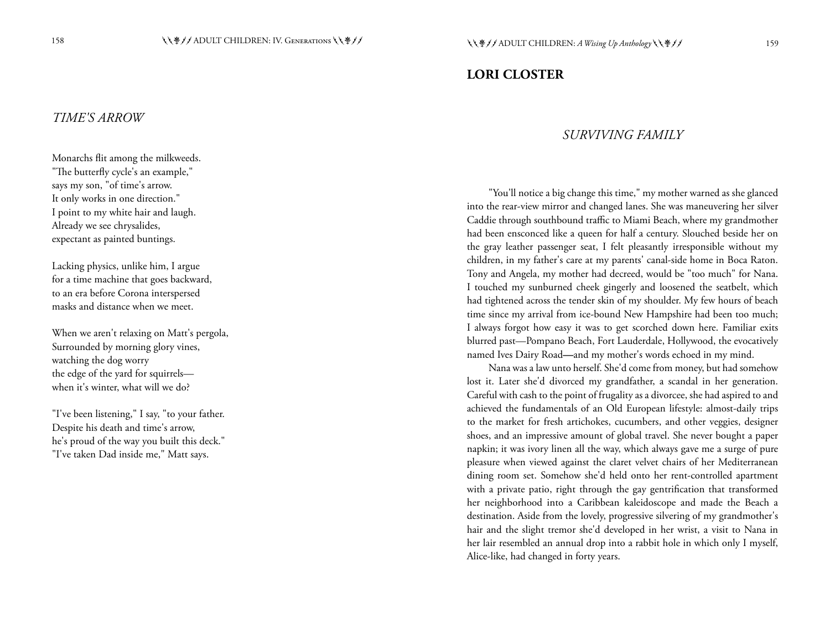### **LORI CLOSTER**

#### *TIME'S ARROW*

Monarchs flit among the milkweeds. "The butterfly cycle's an example," says my son, "of time's arrow. It only works in one direction." I point to my white hair and laugh. Already we see chrysalides, expectant as painted buntings.

Lacking physics, unlike him, I argue for a time machine that goes backward, to an era before Corona interspersed masks and distance when we meet.

When we aren't relaxing on Matt's pergola, Surrounded by morning glory vines, watching the dog worry the edge of the yard for squirrels when it's winter, what will we do?

"I've been listening," I say, "to your father. Despite his death and time's arrow, he's proud of the way you built this deck." "I've taken Dad inside me," Matt says.

#### *SURVIVING FAMILY*

"You'll notice a big change this time," my mother warned as she glanced into the rear-view mirror and changed lanes. She was maneuvering her silver Caddie through southbound traffic to Miami Beach, where my grandmother had been ensconced like a queen for half a century. Slouched beside her on the gray leather passenger seat, I felt pleasantly irresponsible without my children, in my father's care at my parents' canal-side home in Boca Raton. Tony and Angela, my mother had decreed, would be "too much" for Nana. I touched my sunburned cheek gingerly and loosened the seatbelt, which had tightened across the tender skin of my shoulder. My few hours of beach time since my arrival from ice-bound New Hampshire had been too much; I always forgot how easy it was to get scorched down here. Familiar exits blurred past—Pompano Beach, Fort Lauderdale, Hollywood, the evocatively named Ives Dairy Road**—**and my mother's words echoed in my mind.

Nana was a law unto herself. She'd come from money, but had somehow lost it. Later she'd divorced my grandfather, a scandal in her generation. Careful with cash to the point of frugality as a divorcee, she had aspired to and achieved the fundamentals of an Old European lifestyle: almost-daily trips to the market for fresh artichokes, cucumbers, and other veggies, designer shoes, and an impressive amount of global travel. She never bought a paper napkin; it was ivory linen all the way, which always gave me a surge of pure pleasure when viewed against the claret velvet chairs of her Mediterranean dining room set. Somehow she'd held onto her rent-controlled apartment with a private patio, right through the gay gentrification that transformed her neighborhood into a Caribbean kaleidoscope and made the Beach a destination. Aside from the lovely, progressive silvering of my grandmother's hair and the slight tremor she'd developed in her wrist, a visit to Nana in her lair resembled an annual drop into a rabbit hole in which only I myself, Alice-like, had changed in forty years.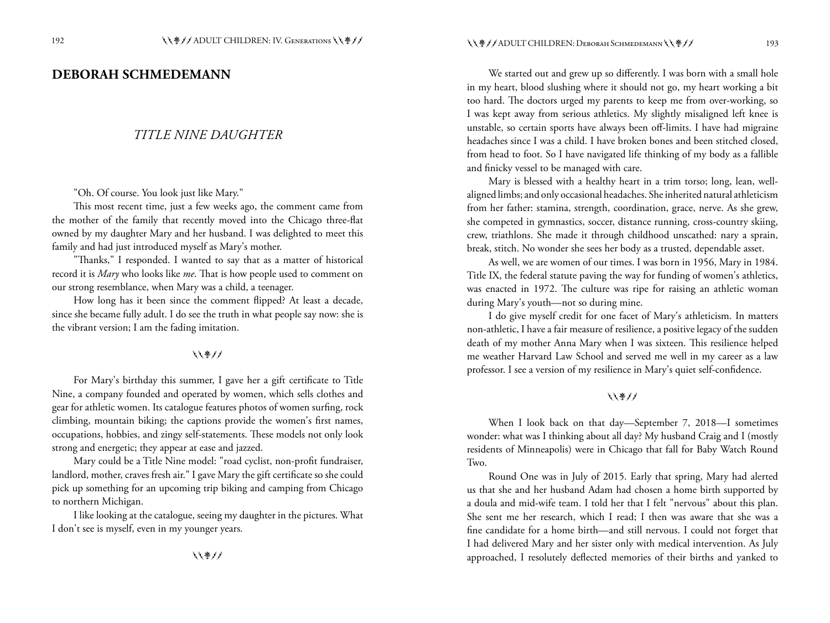#### **DEBORAH SCHMEDEMANN**

#### *TITLE NINE DAUGHTER*

"Oh. Of course. You look just like Mary."

This most recent time, just a few weeks ago, the comment came from the mother of the family that recently moved into the Chicago three-flat owned by my daughter Mary and her husband. I was delighted to meet this family and had just introduced myself as Mary's mother.

"Thanks," I responded. I wanted to say that as a matter of historical record it is *Mary* who looks like *me*. That is how people used to comment on our strong resemblance, when Mary was a child, a teenager.

How long has it been since the comment flipped? At least a decade, since she became fully adult. I do see the truth in what people say now: she is the vibrant version; I am the fading imitation.

#### ししきリノ

For Mary's birthday this summer, I gave her a gift certificate to Title Nine, a company founded and operated by women, which sells clothes and gear for athletic women. Its catalogue features photos of women surfing, rock climbing, mountain biking; the captions provide the women's first names, occupations, hobbies, and zingy self-statements. These models not only look strong and energetic; they appear at ease and jazzed.

Mary could be a Title Nine model: "road cyclist, non-profit fundraiser, landlord, mother, craves fresh air." I gave Mary the gift certificate so she could pick up something for an upcoming trip biking and camping from Chicago to northern Michigan.

I like looking at the catalogue, seeing my daughter in the pictures. What I don't see is myself, even in my younger years.

しくきノノ

We started out and grew up so differently. I was born with a small hole in my heart, blood slushing where it should not go, my heart working a bit too hard. The doctors urged my parents to keep me from over-working, so I was kept away from serious athletics. My slightly misaligned left knee is unstable, so certain sports have always been off-limits. I have had migraine headaches since I was a child. I have broken bones and been stitched closed, from head to foot. So I have navigated life thinking of my body as a fallible and finicky vessel to be managed with care.

Mary is blessed with a healthy heart in a trim torso; long, lean, wellaligned limbs; and only occasional headaches. She inherited natural athleticism from her father: stamina, strength, coordination, grace, nerve. As she grew, she competed in gymnastics, soccer, distance running, cross-country skiing, crew, triathlons. She made it through childhood unscathed: nary a sprain, break, stitch. No wonder she sees her body as a trusted, dependable asset.

As well, we are women of our times. I was born in 1956, Mary in 1984. Title IX, the federal statute paving the way for funding of women's athletics, was enacted in 1972. The culture was ripe for raising an athletic woman during Mary's youth—not so during mine.

I do give myself credit for one facet of Mary's athleticism. In matters non-athletic, I have a fair measure of resilience, a positive legacy of the sudden death of my mother Anna Mary when I was sixteen. This resilience helped me weather Harvard Law School and served me well in my career as a law professor. I see a version of my resilience in Mary's quiet self-confidence.

#### しくきノノ

When I look back on that day—September 7, 2018—I sometimes wonder: what was I thinking about all day? My husband Craig and I (mostly residents of Minneapolis) were in Chicago that fall for Baby Watch Round Two.

Round One was in July of 2015. Early that spring, Mary had alerted us that she and her husband Adam had chosen a home birth supported by a doula and mid-wife team. I told her that I felt "nervous" about this plan. She sent me her research, which I read; I then was aware that she was a fine candidate for a home birth—and still nervous. I could not forget that I had delivered Mary and her sister only with medical intervention. As July approached, I resolutely deflected memories of their births and yanked to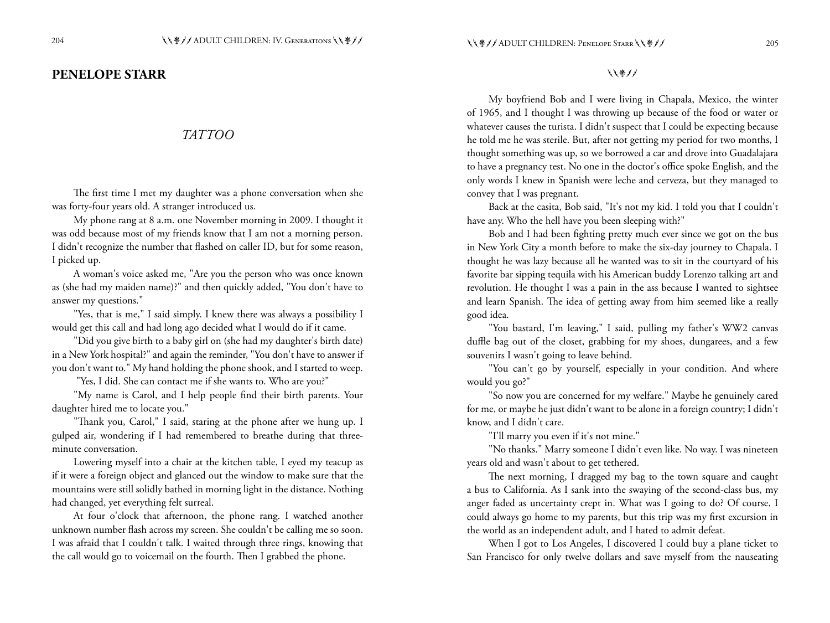### **PENELOPE STARR**

#### *TATTOO*

The first time I met my daughter was a phone conversation when she was forty-four years old. A stranger introduced us.

My phone rang at 8 a.m. one November morning in 2009. I thought it was odd because most of my friends know that I am not a morning person. I didn't recognize the number that flashed on caller ID, but for some reason, I picked up.

A woman's voice asked me, "Are you the person who was once known as (she had my maiden name)?" and then quickly added, "You don't have to answer my questions."

"Yes, that is me," I said simply. I knew there was always a possibility I would get this call and had long ago decided what I would do if it came.

"Did you give birth to a baby girl on (she had my daughter's birth date) in a New York hospital?" and again the reminder, "You don't have to answer if you don't want to." My hand holding the phone shook, and I started to weep.

"Yes, I did. She can contact me if she wants to. Who are you?"

"My name is Carol, and I help people find their birth parents. Your daughter hired me to locate you."

"Thank you, Carol," I said, staring at the phone after we hung up. I gulped air, wondering if I had remembered to breathe during that threeminute conversation.

Lowering myself into a chair at the kitchen table, I eyed my teacup as if it were a foreign object and glanced out the window to make sure that the mountains were still solidly bathed in morning light in the distance. Nothing had changed, yet everything felt surreal.

At four o'clock that afternoon, the phone rang. I watched another unknown number flash across my screen. She couldn't be calling me so soon. I was afraid that I couldn't talk. I waited through three rings, knowing that the call would go to voicemail on the fourth. Then I grabbed the phone.

しくきノノ

My boyfriend Bob and I were living in Chapala, Mexico, the winter of 1965, and I thought I was throwing up because of the food or water or whatever causes the turista. I didn't suspect that I could be expecting because he told me he was sterile. But, after not getting my period for two months, I thought something was up, so we borrowed a car and drove into Guadalajara to have a pregnancy test. No one in the doctor's office spoke English, and the only words I knew in Spanish were leche and cerveza, but they managed to convey that I was pregnant.

Back at the casita, Bob said, "It's not my kid. I told you that I couldn't have any. Who the hell have you been sleeping with?"

Bob and I had been fighting pretty much ever since we got on the bus in New York City a month before to make the six-day journey to Chapala. I thought he was lazy because all he wanted was to sit in the courtyard of his favorite bar sipping tequila with his American buddy Lorenzo talking art and revolution. He thought I was a pain in the ass because I wanted to sightsee and learn Spanish. The idea of getting away from him seemed like a really good idea.

"You bastard, I'm leaving," I said, pulling my father's WW2 canvas duffle bag out of the closet, grabbing for my shoes, dungarees, and a few souvenirs I wasn't going to leave behind.

"You can't go by yourself, especially in your condition. And where would you go?"

"So now you are concerned for my welfare." Maybe he genuinely cared for me, or maybe he just didn't want to be alone in a foreign country; I didn't know, and I didn't care.

"I'll marry you even if it's not mine."

"No thanks." Marry someone I didn't even like. No way. I was nineteen years old and wasn't about to get tethered.

The next morning, I dragged my bag to the town square and caught a bus to California. As I sank into the swaying of the second-class bus, my anger faded as uncertainty crept in. What was I going to do? Of course, I could always go home to my parents, but this trip was my first excursion in the world as an independent adult, and I hated to admit defeat.

When I got to Los Angeles, I discovered I could buy a plane ticket to San Francisco for only twelve dollars and save myself from the nauseating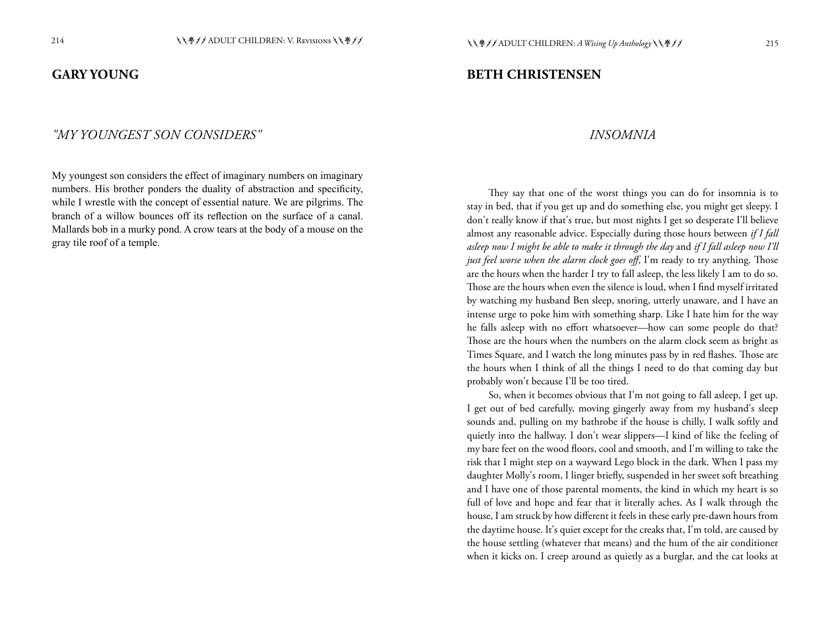#### **GARY YOUNG**

**BETH CHRISTENSEN**

#### *"MY YOUNGEST SON CONSIDERS"*

My youngest son considers the effect of imaginary numbers on imaginary numbers. His brother ponders the duality of abstraction and specificity, while I wrestle with the concept of essential nature. We are pilgrims. The branch of a willow bounces off its reflection on the surface of a canal. Mallards bob in a murky pond. A crow tears at the body of a mouse on the gray tile roof of a temple.

#### *INSOMNIA*

They say that one of the worst things you can do for insomnia is to stay in bed, that if you get up and do something else, you might get sleepy. I don't really know if that's true, but most nights I get so desperate I'll believe almost any reasonable advice. Especially during those hours between *if I fall asleep now I might be able to make it through the day* and *if I fall asleep now I'll just feel worse when the alarm clock goes off*, I'm ready to try anything. Those are the hours when the harder I try to fall asleep, the less likely I am to do so. Those are the hours when even the silence is loud, when I find myself irritated by watching my husband Ben sleep, snoring, utterly unaware, and I have an intense urge to poke him with something sharp. Like I hate him for the way he falls asleep with no effort whatsoever—how can some people do that? Those are the hours when the numbers on the alarm clock seem as bright as Times Square, and I watch the long minutes pass by in red flashes. Those are the hours when I think of all the things I need to do that coming day but probably won't because I'll be too tired.

So, when it becomes obvious that I'm not going to fall asleep, I get up. I get out of bed carefully, moving gingerly away from my husband's sleep sounds and, pulling on my bathrobe if the house is chilly, I walk softly and quietly into the hallway. I don't wear slippers—I kind of like the feeling of my bare feet on the wood floors, cool and smooth, and I'm willing to take the risk that I might step on a wayward Lego block in the dark. When I pass my daughter Molly's room, I linger briefly, suspended in her sweet soft breathing and I have one of those parental moments, the kind in which my heart is so full of love and hope and fear that it literally aches. As I walk through the house, I am struck by how different it feels in these early pre-dawn hours from the daytime house. It's quiet except for the creaks that, I'm told, are caused by the house settling (whatever that means) and the hum of the air conditioner when it kicks on. I creep around as quietly as a burglar, and the cat looks at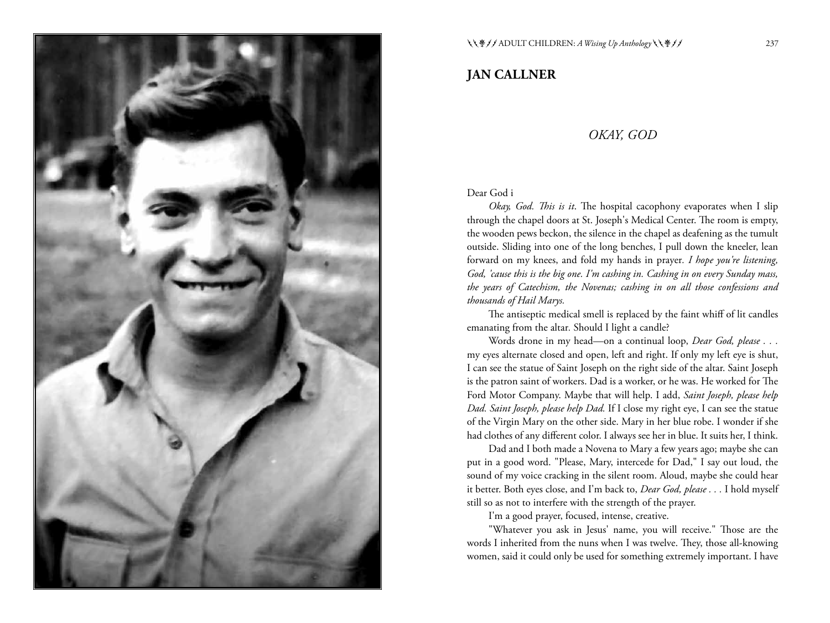

# **JAN CALLNER**

#### *OKAY, GOD*

#### Dear God i

*Okay, God. This is it*. The hospital cacophony evaporates when I slip through the chapel doors at St. Joseph's Medical Center. The room is empty, the wooden pews beckon, the silence in the chapel as deafening as the tumult outside. Sliding into one of the long benches, I pull down the kneeler, lean forward on my knees, and fold my hands in prayer*. I hope you're listening, God, 'cause this is the big one. I'm cashing in. Cashing in on every Sunday mass, the years of Catechism, the Novenas; cashing in on all those confessions and thousands of Hail Marys.*

The antiseptic medical smell is replaced by the faint whiff of lit candles emanating from the altar*.* Should I light a candle?

Words drone in my head—on a continual loop, *Dear God, please . . .*  my eyes alternate closed and open, left and right. If only my left eye is shut, I can see the statue of Saint Joseph on the right side of the altar. Saint Joseph is the patron saint of workers. Dad is a worker, or he was. He worked for The Ford Motor Company. Maybe that will help. I add, *Saint Joseph, please help Dad. Saint Joseph, please help Dad.* If I close my right eye, I can see the statue of the Virgin Mary on the other side. Mary in her blue robe. I wonder if she had clothes of any different color. I always see her in blue. It suits her, I think.

Dad and I both made a Novena to Mary a few years ago; maybe she can put in a good word. "Please, Mary, intercede for Dad," I say out loud, the sound of my voice cracking in the silent room. Aloud, maybe she could hear it better. Both eyes close, and I'm back to, *Dear God, please . . .* I hold myself still so as not to interfere with the strength of the prayer.

I'm a good prayer, focused, intense, creative.

"Whatever you ask in Jesus' name, you will receive." Those are the words I inherited from the nuns when I was twelve. They, those all-knowing women, said it could only be used for something extremely important. I have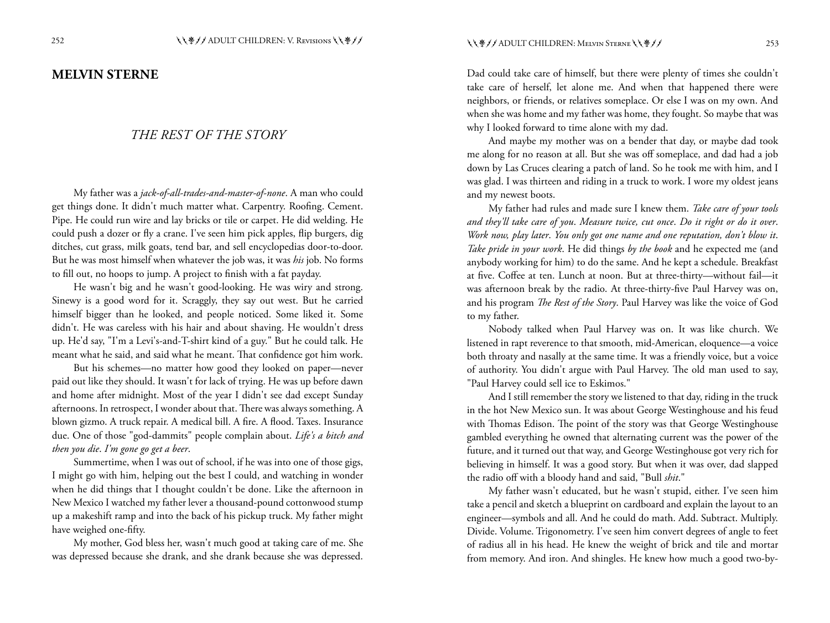#### **MELVIN STERNE**

#### *THE REST OF THE STORY*

My father was a *jack-of-all-trades-and-master-of-none*. A man who could get things done. It didn't much matter what. Carpentry. Roofing. Cement. Pipe. He could run wire and lay bricks or tile or carpet. He did welding. He could push a dozer or fly a crane. I've seen him pick apples, flip burgers, dig ditches, cut grass, milk goats, tend bar, and sell encyclopedias door-to-door. But he was most himself when whatever the job was, it was *his* job. No forms to fill out, no hoops to jump. A project to finish with a fat payday.

He wasn't big and he wasn't good-looking. He was wiry and strong. Sinewy is a good word for it. Scraggly, they say out west. But he carried himself bigger than he looked, and people noticed. Some liked it. Some didn't. He was careless with his hair and about shaving. He wouldn't dress up. He'd say, "I'm a Levi's-and-T-shirt kind of a guy." But he could talk. He meant what he said, and said what he meant. That confidence got him work.

But his schemes—no matter how good they looked on paper—never paid out like they should. It wasn't for lack of trying. He was up before dawn and home after midnight. Most of the year I didn't see dad except Sunday afternoons. In retrospect, I wonder about that. There was always something. A blown gizmo. A truck repair. A medical bill. A fire. A flood. Taxes. Insurance due. One of those "god-dammits" people complain about. *Life's a bitch and then you die*. *I'm gone go get a beer*.

Summertime, when I was out of school, if he was into one of those gigs, I might go with him, helping out the best I could, and watching in wonder when he did things that I thought couldn't be done. Like the afternoon in New Mexico I watched my father lever a thousand-pound cottonwood stump up a makeshift ramp and into the back of his pickup truck. My father might have weighed one-fifty.

My mother, God bless her, wasn't much good at taking care of me. She was depressed because she drank, and she drank because she was depressed.

Dad could take care of himself, but there were plenty of times she couldn't take care of herself, let alone me. And when that happened there were neighbors, or friends, or relatives someplace. Or else I was on my own. And when she was home and my father was home, they fought. So maybe that was why I looked forward to time alone with my dad.

And maybe my mother was on a bender that day, or maybe dad took me along for no reason at all. But she was off someplace, and dad had a job down by Las Cruces clearing a patch of land. So he took me with him, and I was glad. I was thirteen and riding in a truck to work. I wore my oldest jeans and my newest boots.

My father had rules and made sure I knew them. *Take care of your tools and they'll take care of you*. *Measure twice, cut once*. *Do it right or do it over*. *Work now, play later*. *You only got one name and one reputation, don't blow it*. *Take pride in your work*. He did things *by the book* and he expected me (and anybody working for him) to do the same. And he kept a schedule. Breakfast at five. Coffee at ten. Lunch at noon. But at three-thirty—without fail—it was afternoon break by the radio. At three-thirty-five Paul Harvey was on, and his program *The Rest of the Story*. Paul Harvey was like the voice of God to my father.

Nobody talked when Paul Harvey was on. It was like church. We listened in rapt reverence to that smooth, mid-American, eloquence—a voice both throaty and nasally at the same time. It was a friendly voice, but a voice of authority. You didn't argue with Paul Harvey. The old man used to say, "Paul Harvey could sell ice to Eskimos."

And I still remember the story we listened to that day, riding in the truck in the hot New Mexico sun. It was about George Westinghouse and his feud with Thomas Edison. The point of the story was that George Westinghouse gambled everything he owned that alternating current was the power of the future, and it turned out that way, and George Westinghouse got very rich for believing in himself. It was a good story. But when it was over, dad slapped the radio off with a bloody hand and said, "Bull *shit*."

My father wasn't educated, but he wasn't stupid, either. I've seen him take a pencil and sketch a blueprint on cardboard and explain the layout to an engineer—symbols and all. And he could do math. Add. Subtract. Multiply. Divide. Volume. Trigonometry. I've seen him convert degrees of angle to feet of radius all in his head. He knew the weight of brick and tile and mortar from memory. And iron. And shingles. He knew how much a good two-by-